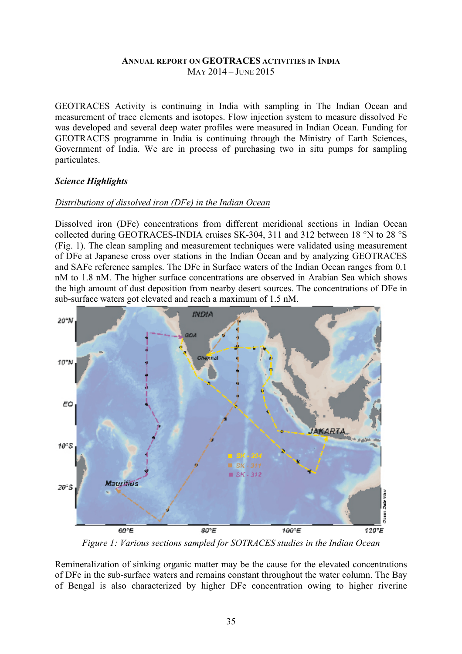### **ANNUAL REPORT ON GEOTRACES ACTIVITIES IN INDIA** MAY 2014 – JUNE 2015

GEOTRACES Activity is continuing in India with sampling in The Indian Ocean and measurement of trace elements and isotopes. Flow injection system to measure dissolved Fe was developed and several deep water profiles were measured in Indian Ocean. Funding for GEOTRACES programme in India is continuing through the Ministry of Earth Sciences, Government of India. We are in process of purchasing two in situ pumps for sampling particulates.

### *Science Highlights*

### *Distributions of dissolved iron (DFe) in the Indian Ocean*

Dissolved iron (DFe) concentrations from different meridional sections in Indian Ocean collected during GEOTRACES-INDIA cruises SK-304, 311 and 312 between 18 °N to 28 °S (Fig. 1). The clean sampling and measurement techniques were validated using measurement of DFe at Japanese cross over stations in the Indian Ocean and by analyzing GEOTRACES and SAFe reference samples. The DFe in Surface waters of the Indian Ocean ranges from 0.1 nM to 1.8 nM. The higher surface concentrations are observed in Arabian Sea which shows the high amount of dust deposition from nearby desert sources. The concentrations of DFe in sub-surface waters got elevated and reach a maximum of 1.5 nM.



*Figure 1: Various sections sampled for SOTRACES studies in the Indian Ocean*

Remineralization of sinking organic matter may be the cause for the elevated concentrations of DFe in the sub-surface waters and remains constant throughout the water column. The Bay of Bengal is also characterized by higher DFe concentration owing to higher riverine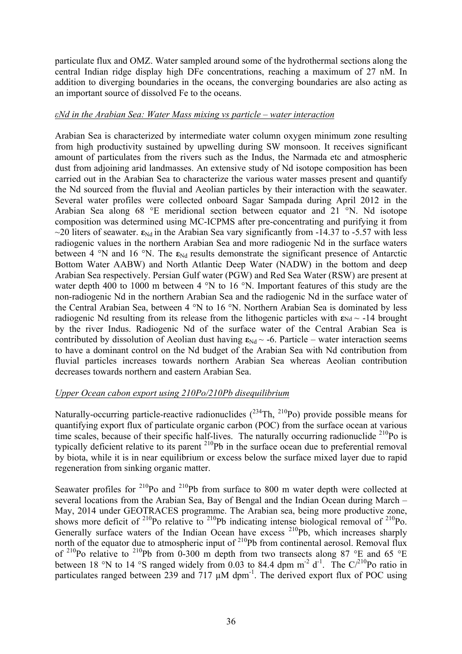particulate flux and OMZ. Water sampled around some of the hydrothermal sections along the central Indian ridge display high DFe concentrations, reaching a maximum of 27 nM. In addition to diverging boundaries in the oceans, the converging boundaries are also acting as an important source of dissolved Fe to the oceans.

### *εNd in the Arabian Sea: Water Mass mixing vs particle – water interaction*

Arabian Sea is characterized by intermediate water column oxygen minimum zone resulting from high productivity sustained by upwelling during SW monsoon. It receives significant amount of particulates from the rivers such as the Indus, the Narmada etc and atmospheric dust from adjoining arid landmasses. An extensive study of Nd isotope composition has been carried out in the Arabian Sea to characterize the various water masses present and quantify the Nd sourced from the fluvial and Aeolian particles by their interaction with the seawater. Several water profiles were collected onboard Sagar Sampada during April 2012 in the Arabian Sea along 68 °E meridional section between equator and 21 °N. Nd isotope composition was determined using MC-ICPMS after pre-concentrating and purifying it from  $\sim$ 20 liters of seawater.  $\epsilon_{Nd}$  in the Arabian Sea vary significantly from -14.37 to -5.57 with less radiogenic values in the northern Arabian Sea and more radiogenic Nd in the surface waters between 4 °N and 16 °N. The  $\varepsilon_{Nd}$  results demonstrate the significant presence of Antarctic Bottom Water AABW) and North Atlantic Deep Water (NADW) in the bottom and deep Arabian Sea respectively. Persian Gulf water (PGW) and Red Sea Water (RSW) are present at water depth 400 to 1000 m between 4 °N to 16 °N. Important features of this study are the non-radiogenic Nd in the northern Arabian Sea and the radiogenic Nd in the surface water of the Central Arabian Sea, between 4 °N to 16 °N. Northern Arabian Sea is dominated by less radiogenic Nd resulting from its release from the lithogenic particles with  $\epsilon_{Nd} \sim -14$  brought by the river Indus. Radiogenic Nd of the surface water of the Central Arabian Sea is contributed by dissolution of Aeolian dust having  $\epsilon_{Nd} \sim -6$ . Particle – water interaction seems to have a dominant control on the Nd budget of the Arabian Sea with Nd contribution from fluvial particles increases towards northern Arabian Sea whereas Aeolian contribution decreases towards northern and eastern Arabian Sea.

# *Upper Ocean cabon export using 210Po/210Pb disequilibrium*

Naturally-occurring particle-reactive radionuclides  $(^{234}Th, ^{210}Po)$  provide possible means for quantifying export flux of particulate organic carbon (POC) from the surface ocean at various time scales, because of their specific half-lives. The naturally occurring radionuclide <sup>210</sup>Po is typically deficient relative to its parent 210Pb in the surface ocean due to preferential removal by biota, while it is in near equilibrium or excess below the surface mixed layer due to rapid regeneration from sinking organic matter.

Seawater profiles for  $2^{10}P_0$  and  $2^{10}P_0$  from surface to 800 m water depth were collected at several locations from the Arabian Sea, Bay of Bengal and the Indian Ocean during March – May, 2014 under GEOTRACES programme. The Arabian sea, being more productive zone, shows more deficit of  $^{210}$ Po relative to  $^{210}$ Pb indicating intense biological removal of  $^{210}$ Po. Generally surface waters of the Indian Ocean have excess  $^{210}Pb$ , which increases sharply north of the equator due to atmospheric input of  $2^{10}Pb$  from continental aerosol. Removal flux of <sup>210</sup>Po relative to <sup>210</sup>Pb from 0-300 m depth from two transects along 87 °E and 65 °E between 18 °N to 14 °S ranged widely from 0.03 to 84.4 dpm  $m^{-2}$  d<sup>-1</sup>. The C/<sup>210</sup>Po ratio in particulates ranged between 239 and  $717 \mu M$  dpm<sup>-1</sup>. The derived export flux of POC using